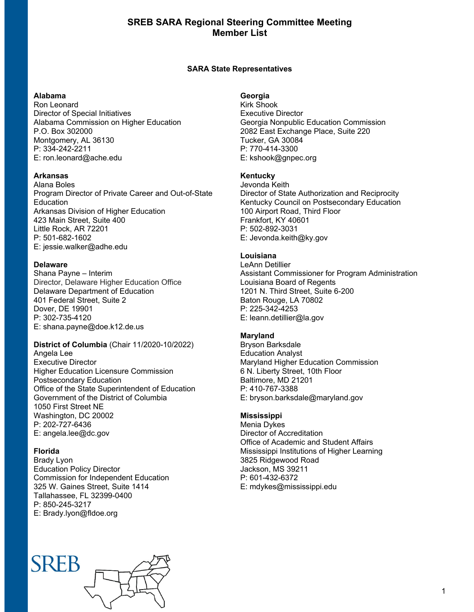# **SREB SARA Regional Steering Committee Meeting Member List**

### **SARA State Representatives**

#### **Alabama**

Ron Leonard Director of Special Initiatives Alabama Commission on Higher Education P.O. Box 302000 Montgomery, AL 36130 P: 334-242-2211 E: ron.leonard@ache.edu

## **Arkansas**

Alana Boles Program Director of Private Career and Out-of-State Education Arkansas Division of Higher Education 423 Main Street, Suite 400 Little Rock, AR 72201 P: 501-682-1602 E: jessie.walker@adhe.edu

## **Delaware**

Shana Payne – Interim Director, Delaware Higher Education Office Delaware Department of Education 401 Federal Street, Suite 2 Dover, DE 19901 P: 302-735-4120 E: shana.payne@doe.k12.de.us

# **District of Columbia** (Chair 11/2020-10/2022)

Angela Lee Executive Director Higher Education Licensure Commission Postsecondary Education Office of the State Superintendent of Education Government of the District of Columbia 1050 First Street NE Washington, DC 20002 P: 202-727-6436 E: angela.lee@dc.gov

## **Florida**

Brady Lyon Education Policy Director Commission for Independent Education 325 W. Gaines Street, Suite 1414 Tallahassee, FL 32399-0400 P: 850-245-3217 E: Brady.lyon@fldoe.org

# **SREP**

## **Georgia**

Kirk Shook Executive Director Georgia Nonpublic Education Commission 2082 East Exchange Place, Suite 220 Tucker, GA 30084 P: 770-414-3300 E: kshook@gnpec.org

#### **Kentucky**

Jevonda Keith Director of State Authorization and Reciprocity Kentucky Council on Postsecondary Education 100 Airport Road, Third Floor Frankfort, KY 40601 P: 502-892-3031 E: Jevonda.keith@ky.gov

# **Louisiana**

LeAnn Detillier Assistant Commissioner for Program Administration Louisiana Board of Regents 1201 N. Third Street, Suite 6-200 Baton Rouge, LA 70802 P: 225-342-4253 E: leann.detillier@la.gov

#### **Maryland**

Bryson Barksdale Education Analyst Maryland Higher Education Commission 6 N. Liberty Street, 10th Floor Baltimore, MD 21201 P: 410-767-3388 E: bryson.barksdale@maryland.gov

#### **Mississippi**

Menia Dykes Director of Accreditation Office of Academic and Student Affairs Mississippi Institutions of Higher Learning 3825 Ridgewood Road Jackson, MS 39211 P: 601-432-6372 E: mdykes@mississippi.edu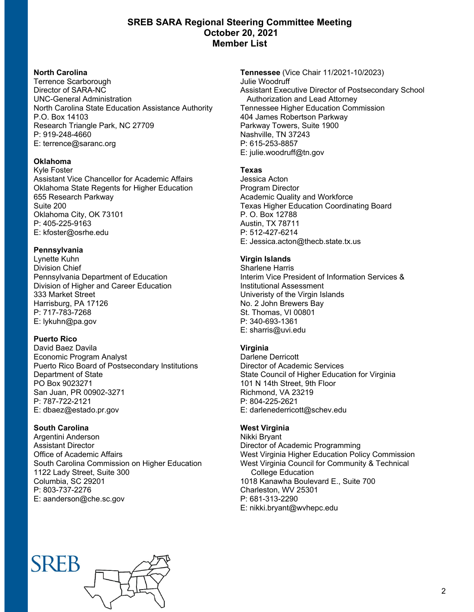# **SREB SARA Regional Steering Committee Meeting October 20, 2021 Member List**

## **North Carolina**

Terrence Scarborough Director of SARA-NC UNC-General Administration North Carolina State Education Assistance Authority P.O. Box 14103 Research Triangle Park, NC 27709 P: 919-248-4660 E: terrence@saranc.org

# **Oklahoma**

Kyle Foster Assistant Vice Chancellor for Academic Affairs Oklahoma State Regents for Higher Education 655 Research Parkway Suite 200 Oklahoma City, OK 73101 P: 405-225-9163 E: kfoster@osrhe.edu

# **Pennsylvania**

Lynette Kuhn Division Chief Pennsylvania Department of Education Division of Higher and Career Education 333 Market Street Harrisburg, PA 17126 P: 717-783-7268 E: lykuhn@pa.gov

# **Puerto Rico**

David Baez Davila Economic Program Analyst Puerto Rico Board of Postsecondary Institutions Department of State PO Box 9023271 San Juan, PR 00902-3271 P: 787-722-2121 E: dbaez@estado.pr.gov

# **South Carolina**

Argentini Anderson Assistant Director Office of Academic Affairs South Carolina Commission on Higher Education 1122 Lady Street, Suite 300 Columbia, SC 29201 P: 803-737-2276 E: aanderson@che.sc.gov

**Tennessee** (Vice Chair 11/2021-10/2023) Julie Woodruff Assistant Executive Director of Postsecondary School Authorization and Lead Attorney Tennessee Higher Education Commission 404 James Robertson Parkway Parkway Towers, Suite 1900 Nashville, TN 37243 P: 615-253-8857 E: julie.woodruff@tn.gov

# **Texas**

Jessica Acton Program Director Academic Quality and Workforce Texas Higher Education Coordinating Board P. O. Box 12788 Austin, TX 78711 P: 512-427-6214 E: Jessica.acton@thecb.state.tx.us

# **Virgin Islands**

Sharlene Harris Interim Vice President of Information Services & Institutional Assessment Univeristy of the Virgin Islands No. 2 John Brewers Bay St. Thomas, VI 00801 P: 340-693-1361 E: sharris@uvi.edu

# **Virginia**

Darlene Derricott Director of Academic Services State Council of Higher Education for Virginia 101 N 14th Street, 9th Floor Richmond, VA 23219 P: 804-225-2621 E: darlenederricott@schev.edu

## **West Virginia**

Nikki Bryant Director of Academic Programming West Virginia Higher Education Policy Commission West Virginia Council for Community & Technical College Education 1018 Kanawha Boulevard E., Suite 700 Charleston, WV 25301 P: 681-313-2290 E: nikki.bryant@wvhepc.edu